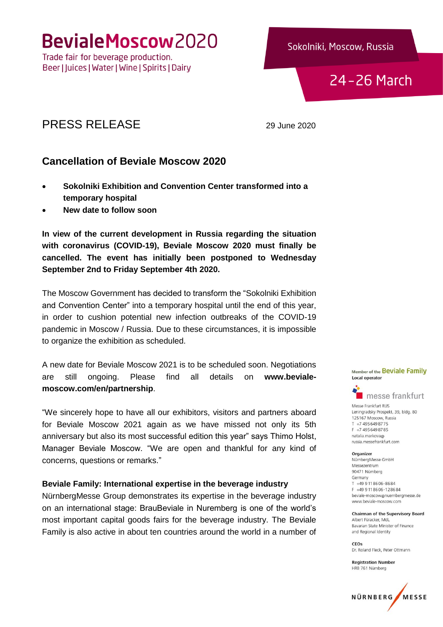BevialeMoscow2020

Trade fair for beverage production. Beer | Juices | Water | Wine | Spirits | Dairy Sokolniki, Moscow, Russia

# 24-26 March

# PRESS RELEASE 29 June 2020

# **Cancellation of Beviale Moscow 2020**

- **Sokolniki Exhibition and Convention Center transformed into a temporary hospital**
- **New date to follow soon**

**In view of the current development in Russia regarding the situation with coronavirus (COVID-19), Beviale Moscow 2020 must finally be cancelled. The event has initially been postponed to Wednesday September 2nd to Friday September 4th 2020.**

The Moscow Government has decided to transform the "Sokolniki Exhibition and Convention Center" into a temporary hospital until the end of this year, in order to cushion potential new infection outbreaks of the COVID-19 pandemic in Moscow / Russia. Due to these circumstances, it is impossible to organize the exhibition as scheduled.

A new date for Beviale Moscow 2021 is to be scheduled soon. Negotiations are still ongoing. Please find all details on **[www.beviale](http://www.beviale-moscow.com/en/partnership)[moscow.com/en/partnership](http://www.beviale-moscow.com/en/partnership)**.

"We sincerely hope to have all our exhibitors, visitors and partners aboard for Beviale Moscow 2021 again as we have missed not only its 5th anniversary but also its most successful edition this year" says Thimo Holst, Manager Beviale Moscow. "We are open and thankful for any kind of concerns, questions or remarks."

### **Beviale Family: International expertise in the beverage industry**

NürnbergMesse Group demonstrates its expertise in the beverage industry on an international stage: BrauBeviale in Nuremberg is one of the world's most important capital goods fairs for the beverage industry. The Beviale Family is also active in about ten countries around the world in a number of

Member of the Beviale Family **Local operator** 



Messe Frankfurt RUS Leningradsky Prospekt, 39, bldg. 80 125167 Moscow, Russia T +7 495 649 8775 F +7 495 649 87 85 natalia markova@ russia.messefrankfurt.com

#### Organizer

NürnbergMesse GmbH Messezentrum 90471 Nürnberg Germany T +49 9 11 86 06-86 84 F +49 9 11 86 06 - 12 86 84 beviale-moscow@nuernbergmesse.de www.beviale-moscow.com

**Chairman of the Supervisory Board** Albert Füracker, MdL Bayarian State Minister of Finance and Regional Identity

CEOs Dr. Roland Fleck, Peter Ottmann

**Registration Number** HRB 761 Nürnberg